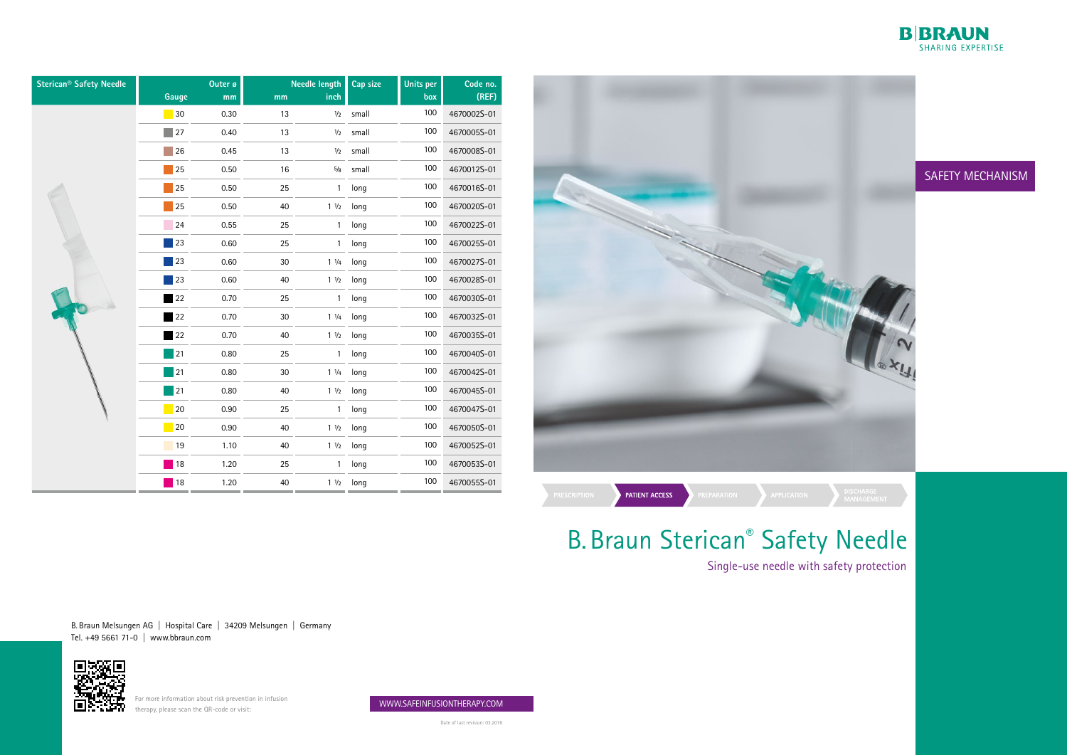B. Braun Melsungen AG | Hospital Care | 34209 Melsungen | Germany Tel. +49 5661 71-0 | www.bbraun.com



For more information about risk prevention in infusion<br>
For more information about risk prevention in infusion<br>
For the more information about risk prevention in infusion therapy, please scan the QR-code or visit:



Date of last revision: 03.2018



## B. Braun Sterican® Safety Needle

## SAFETY MECHANISM

# Single-use needle with safety protection

| <b>Sterican<sup>®</sup> Safety Needle</b> | Gauge                       | Outer ø<br>mm | mm | <b>Needle length</b><br>inch | Cap size | <b>Units per</b><br>box | Code no.<br>(REF) |
|-------------------------------------------|-----------------------------|---------------|----|------------------------------|----------|-------------------------|-------------------|
|                                           | $\blacksquare$ 30           | 0.30          | 13 | 1/2                          | small    | 100                     | 4670002S-01       |
|                                           | $\blacksquare$ 27           | 0.40          | 13 | $1/2$                        | small    | 100                     | 4670005S-01       |
|                                           | 26                          | 0.45          | 13 | 1/2                          | small    | 100                     | 4670008S-01       |
|                                           | 25                          | 0.50          | 16 | $5/8$                        | small    | 100                     | 4670012S-01       |
|                                           | $\overline{\phantom{a}}$ 25 | 0.50          | 25 | $\mathbf{1}$                 | long     | 100                     | 4670016S-01       |
|                                           | 25                          | 0.50          | 40 | $1 \frac{1}{2}$              | long     | 100                     | 4670020S-01       |
|                                           | 24                          | 0.55          | 25 | $\mathbf{1}$                 | long     | 100                     | 4670022S-01       |
|                                           | $\vert$ 23                  | 0.60          | 25 | 1                            | long     | 100                     | 4670025S-01       |
|                                           | 23                          | 0.60          | 30 | $1 \frac{1}{4}$              | long     | 100                     | 4670027S-01       |
|                                           | 23                          | 0.60          | 40 | $1 \frac{1}{2}$              | long     | 100                     | 4670028S-01       |
|                                           | 22                          | 0.70          | 25 | $\mathbf{1}$                 | long     | 100                     | 4670030S-01       |
|                                           | 22                          | 0.70          | 30 | $1 \frac{1}{4}$              | long     | 100                     | 4670032S-01       |
|                                           | 22                          | 0.70          | 40 | $1 \frac{1}{2}$              | long     | 100                     | 4670035S-01       |
|                                           | 21                          | 0.80          | 25 | $\mathbf{1}$                 | long     | 100                     | 4670040S-01       |
|                                           | $\overline{21}$             | 0.80          | 30 | $1 \frac{1}{4}$              | long     | 100                     | 4670042S-01       |
|                                           | $\blacksquare$ 21           | 0.80          | 40 | $1 \frac{1}{2}$              | long     | 100                     | 4670045S-01       |
|                                           | $ 20\rangle$                | 0.90          | 25 | $\mathbf{1}$                 | long     | 100                     | 4670047S-01       |
|                                           | 20                          | 0.90          | 40 | $1 \frac{1}{2}$              | long     | 100                     | 4670050S-01       |
|                                           | $\overline{19}$             | 1.10          | 40 | $1 \frac{1}{2}$              | long     | 100                     | 4670052S-01       |
|                                           | 18                          | 1.20          | 25 | 1                            | long     | 100                     | 4670053S-01       |
|                                           | $\vert$ 18                  | 1.20          | 40 | $1 \frac{1}{2}$              | long     | 100                     | 4670055S-01       |